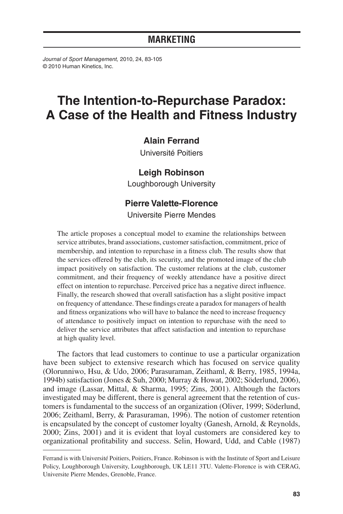### **Marketing**

*Journal of Sport Management,* 2010, 24, 83-105 © 2010 Human Kinetics, Inc.

# **The Intention-to-Repurchase Paradox: A Case of the Health and Fitness Industry**

#### **Alain Ferrand**

Université Poitiers

#### **Leigh Robinson**

Loughborough University

#### **Pierre Valette-Florence**

Universite Pierre Mendes

The article proposes a conceptual model to examine the relationships between service attributes, brand associations, customer satisfaction, commitment, price of membership, and intention to repurchase in a fitness club. The results show that the services offered by the club, its security, and the promoted image of the club impact positively on satisfaction. The customer relations at the club, customer commitment, and their frequency of weekly attendance have a positive direct effect on intention to repurchase. Perceived price has a negative direct influence. Finally, the research showed that overall satisfaction has a slight positive impact on frequency of attendance. These findings create a paradox for managers of health and fitness organizations who will have to balance the need to increase frequency of attendance to positively impact on intention to repurchase with the need to deliver the service attributes that affect satisfaction and intention to repurchase at high quality level.

The factors that lead customers to continue to use a particular organization have been subject to extensive research which has focused on service quality (Olorunniwo, Hsu, & Udo, 2006; Parasuraman, Zeithaml, & Berry, 1985, 1994a, 1994b) satisfaction (Jones & Suh, 2000; Murray & Howat, 2002; Söderlund, 2006), and image (Lassar, Mittal, & Sharma, 1995; Zins, 2001). Although the factors investigated may be different, there is general agreement that the retention of customers is fundamental to the success of an organization (Oliver, 1999; Söderlund, 2006; Zeithaml, Berry, & Parasuraman, 1996). The notion of customer retention is encapsulated by the concept of customer loyalty (Ganesh, Arnold, & Reynolds, 2000; Zins, 2001) and it is evident that loyal customers are considered key to organizational profitability and success. Selin, Howard, Udd, and Cable (1987)

Ferrand is with Université Poitiers, Poitiers, France. Robinson is with the Institute of Sport and Leisure Policy, Loughborough University, Loughborough, UK LE11 3TU. Valette-Florence is with CERAG, Universite Pierre Mendes, Grenoble, France.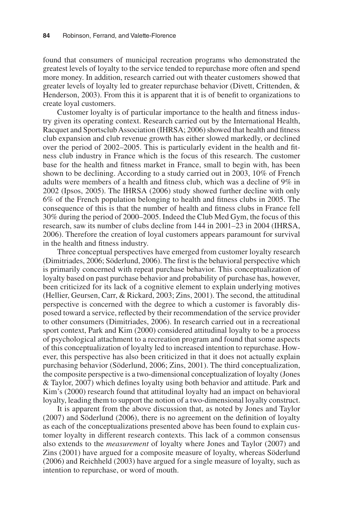found that consumers of municipal recreation programs who demonstrated the greatest levels of loyalty to the service tended to repurchase more often and spend more money. In addition, research carried out with theater customers showed that greater levels of loyalty led to greater repurchase behavior (Divett, Crittenden, & Henderson, 2003). From this it is apparent that it is of benefit to organizations to create loyal customers.

Customer loyalty is of particular importance to the health and fitness industry given its operating context. Research carried out by the International Health, Racquet and Sportsclub Association (IHRSA; 2006) showed that health and fitness club expansion and club revenue growth has either slowed markedly, or declined over the period of 2002–2005. This is particularly evident in the health and fitness club industry in France which is the focus of this research. The customer base for the health and fitness market in France, small to begin with, has been shown to be declining. According to a study carried out in 2003, 10% of French adults were members of a health and fitness club, which was a decline of 9% in 2002 (Ipsos, 2005). The IHRSA (2006) study showed further decline with only 6% of the French population belonging to health and fitness clubs in 2005. The consequence of this is that the number of health and fitness clubs in France fell 30% during the period of 2000–2005. Indeed the Club Med Gym, the focus of this research, saw its number of clubs decline from 144 in 2001–23 in 2004 (IHRSA, 2006). Therefore the creation of loyal customers appears paramount for survival in the health and fitness industry.

Three conceptual perspectives have emerged from customer loyalty research (Dimitriades, 2006; Söderlund, 2006). The first is the behavioral perspective which is primarily concerned with repeat purchase behavior. This conceptualization of loyalty based on past purchase behavior and probability of purchase has, however, been criticized for its lack of a cognitive element to explain underlying motives (Hellier, Geursen, Carr, & Rickard, 2003; Zins, 2001). The second, the attitudinal perspective is concerned with the degree to which a customer is favorably disposed toward a service, reflected by their recommendation of the service provider to other consumers (Dimitriades, 2006). In research carried out in a recreational sport context, Park and Kim (2000) considered attitudinal loyalty to be a process of psychological attachment to a recreation program and found that some aspects of this conceptualization of loyalty led to increased intention to repurchase. However, this perspective has also been criticized in that it does not actually explain purchasing behavior (Söderlund, 2006; Zins, 2001). The third conceptualization, the composite perspective is a two-dimensional conceptualization of loyalty (Jones & Taylor, 2007) which defines loyalty using both behavior and attitude. Park and Kim's (2000) research found that attitudinal loyalty had an impact on behavioral loyalty, leading them to support the notion of a two-dimensional loyalty construct.

It is apparent from the above discussion that, as noted by Jones and Taylor (2007) and Söderlund (2006), there is no agreement on the definition of loyalty as each of the conceptualizations presented above has been found to explain customer loyalty in different research contexts. This lack of a common consensus also extends to the *measurement* of loyalty where Jones and Taylor (2007) and Zins (2001) have argued for a composite measure of loyalty, whereas Söderlund (2006) and Reichheld (2003) have argued for a single measure of loyalty, such as intention to repurchase, or word of mouth.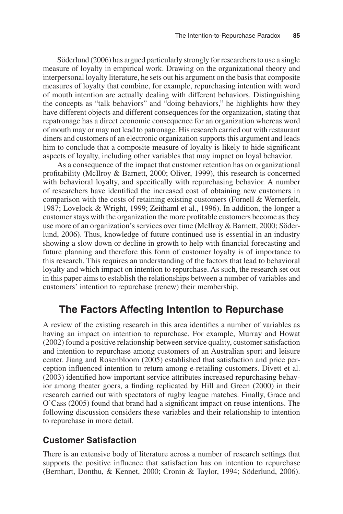Söderlund (2006) has argued particularly strongly for researchers to use a single measure of loyalty in empirical work. Drawing on the organizational theory and interpersonal loyalty literature, he sets out his argument on the basis that composite measures of loyalty that combine, for example, repurchasing intention with word of mouth intention are actually dealing with different behaviors. Distinguishing the concepts as "talk behaviors" and "doing behaviors," he highlights how they have different objects and different consequences for the organization, stating that repatronage has a direct economic consequence for an organization whereas word of mouth may or may not lead to patronage. His research carried out with restaurant diners and customers of an electronic organization supports this argument and leads him to conclude that a composite measure of loyalty is likely to hide significant aspects of loyalty, including other variables that may impact on loyal behavior.

As a consequence of the impact that customer retention has on organizational profitability (McIlroy & Barnett, 2000; Oliver, 1999), this research is concerned with behavioral loyalty, and specifically with repurchasing behavior. A number of researchers have identified the increased cost of obtaining new customers in comparison with the costs of retaining existing customers (Fornell & Wernerfelt, 1987; Lovelock & Wright, 1999; Zeithaml et al., 1996). In addition, the longer a customer stays with the organization the more profitable customers become as they use more of an organization's services over time (McIlroy & Barnett, 2000; Söderlund, 2006). Thus, knowledge of future continued use is essential in an industry showing a slow down or decline in growth to help with financial forecasting and future planning and therefore this form of customer loyalty is of importance to this research. This requires an understanding of the factors that lead to behavioral loyalty and which impact on intention to repurchase. As such, the research set out in this paper aims to establish the relationships between a number of variables and customers' intention to repurchase (renew) their membership.

### **The Factors Affecting Intention to Repurchase**

A review of the existing research in this area identifies a number of variables as having an impact on intention to repurchase. For example, Murray and Howat (2002) found a positive relationship between service quality, customer satisfaction and intention to repurchase among customers of an Australian sport and leisure center. Jiang and Rosenbloom (2005) established that satisfaction and price perception influenced intention to return among e-retailing customers. Divett et al. (2003) identified how important service attributes increased repurchasing behavior among theater goers, a finding replicated by Hill and Green (2000) in their research carried out with spectators of rugby league matches. Finally, Grace and O'Cass (2005) found that brand had a significant impact on reuse intentions. The following discussion considers these variables and their relationship to intention to repurchase in more detail.

#### **Customer Satisfaction**

There is an extensive body of literature across a number of research settings that supports the positive influence that satisfaction has on intention to repurchase (Bernhart, Donthu, & Kennet, 2000; Cronin & Taylor, 1994; Söderlund, 2006).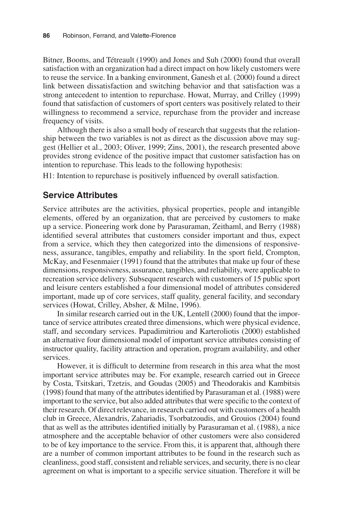Bitner, Booms, and Tétreault (1990) and Jones and Suh (2000) found that overall satisfaction with an organization had a direct impact on how likely customers were to reuse the service. In a banking environment, Ganesh et al. (2000) found a direct link between dissatisfaction and switching behavior and that satisfaction was a strong antecedent to intention to repurchase. Howat, Murray, and Crilley (1999) found that satisfaction of customers of sport centers was positively related to their willingness to recommend a service, repurchase from the provider and increase frequency of visits.

Although there is also a small body of research that suggests that the relationship between the two variables is not as direct as the discussion above may suggest (Hellier et al., 2003; Oliver, 1999; Zins, 2001), the research presented above provides strong evidence of the positive impact that customer satisfaction has on intention to repurchase. This leads to the following hypothesis:

H1: Intention to repurchase is positively influenced by overall satisfaction.

#### **Service Attributes**

Service attributes are the activities, physical properties, people and intangible elements, offered by an organization, that are perceived by customers to make up a service. Pioneering work done by Parasuraman, Zeithaml, and Berry (1988) identified several attributes that customers consider important and thus, expect from a service, which they then categorized into the dimensions of responsiveness, assurance, tangibles, empathy and reliability. In the sport field, Crompton, McKay, and Fesenmaier (1991) found that the attributes that make up four of these dimensions, responsiveness, assurance, tangibles, and reliability, were applicable to recreation service delivery. Subsequent research with customers of 15 public sport and leisure centers established a four dimensional model of attributes considered important, made up of core services, staff quality, general facility, and secondary services (Howat, Crilley, Absher, & Milne, 1996).

In similar research carried out in the UK, Lentell (2000) found that the importance of service attributes created three dimensions, which were physical evidence, staff, and secondary services. Papadimitriou and Karteroliotis (2000) established an alternative four dimensional model of important service attributes consisting of instructor quality, facility attraction and operation, program availability, and other services.

However, it is difficult to determine from research in this area what the most important service attributes may be. For example, research carried out in Greece by Costa, Tsitskari, Tzetzis, and Goudas (2005) and Theodorakis and Kambitsis (1998) found that many of the attributes identified by Parasuraman et al. (1988) were important to the service, but also added attributes that were specific to the context of their research. Of direct relevance, in research carried out with customers of a health club in Greece, Alexandris, Zahariadis, Tsorbatzoudis, and Grouios (2004) found that as well as the attributes identified initially by Parasuraman et al. (1988), a nice atmosphere and the acceptable behavior of other customers were also considered to be of key importance to the service. From this, it is apparent that, although there are a number of common important attributes to be found in the research such as cleanliness, good staff, consistent and reliable services, and security, there is no clear agreement on what is important to a specific service situation. Therefore it will be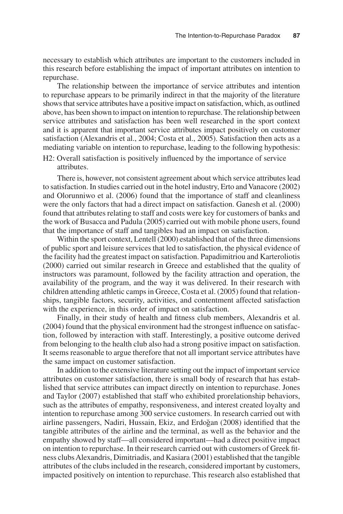necessary to establish which attributes are important to the customers included in this research before establishing the impact of important attributes on intention to repurchase.

The relationship between the importance of service attributes and intention to repurchase appears to be primarily indirect in that the majority of the literature shows that service attributes have a positive impact on satisfaction, which, as outlined above, has been shown to impact on intention to repurchase. The relationship between service attributes and satisfaction has been well researched in the sport context and it is apparent that important service attributes impact positively on customer satisfaction (Alexandris et al., 2004; Costa et al., 2005). Satisfaction then acts as a mediating variable on intention to repurchase, leading to the following hypothesis:

H2: Overall satisfaction is positively influenced by the importance of service attributes.

There is, however, not consistent agreement about which service attributes lead to satisfaction. In studies carried out in the hotel industry, Erto and Vanacore (2002) and Olorunniwo et al. (2006) found that the importance of staff and cleanliness were the only factors that had a direct impact on satisfaction. Ganesh et al. (2000) found that attributes relating to staff and costs were key for customers of banks and the work of Busacca and Padula (2005) carried out with mobile phone users, found that the importance of staff and tangibles had an impact on satisfaction.

Within the sport context, Lentell (2000) established that of the three dimensions of public sport and leisure services that led to satisfaction, the physical evidence of the facility had the greatest impact on satisfaction. Papadimitriou and Karteroliotis (2000) carried out similar research in Greece and established that the quality of instructors was paramount, followed by the facility attraction and operation, the availability of the program, and the way it was delivered. In their research with children attending athletic camps in Greece, Costa et al. (2005) found that relationships, tangible factors, security, activities, and contentment affected satisfaction with the experience, in this order of impact on satisfaction.

Finally, in their study of health and fitness club members, Alexandris et al. (2004) found that the physical environment had the strongest influence on satisfaction, followed by interaction with staff. Interestingly, a positive outcome derived from belonging to the health club also had a strong positive impact on satisfaction. It seems reasonable to argue therefore that not all important service attributes have the same impact on customer satisfaction.

In addition to the extensive literature setting out the impact of important service attributes on customer satisfaction, there is small body of research that has established that service attributes can impact directly on intention to repurchase. Jones and Taylor (2007) established that staff who exhibited prorelationship behaviors, such as the attributes of empathy, responsiveness, and interest created loyalty and intention to repurchase among 300 service customers. In research carried out with airline passengers, Nadiri, Hussain, Ekiz, and Erdoğan (2008) identified that the tangible attributes of the airline and the terminal, as well as the behavior and the empathy showed by staff—all considered important—had a direct positive impact on intention to repurchase. In their research carried out with customers of Greek fitness clubs Alexandris, Dimitriadis, and Kasiara (2001) established that the tangible attributes of the clubs included in the research, considered important by customers, impacted positively on intention to repurchase. This research also established that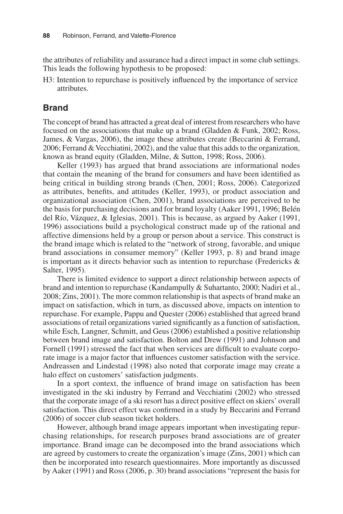the attributes of reliability and assurance had a direct impact in some club settings. This leads the following hypothesis to be proposed:

H3: Intention to repurchase is positively influenced by the importance of service attributes.

#### **Brand**

The concept of brand has attracted a great deal of interest from researchers who have focused on the associations that make up a brand (Gladden & Funk, 2002; Ross, James, & Vargas, 2006), the image these attributes create (Beccarini & Ferrand, 2006; Ferrand & Vecchiatini, 2002), and the value that this adds to the organization, known as brand equity (Gladden, Milne, & Sutton, 1998; Ross, 2006).

Keller (1993) has argued that brand associations are informational nodes that contain the meaning of the brand for consumers and have been identified as being critical in building strong brands (Chen, 2001; Ross, 2006). Categorized as attributes, benefits, and attitudes (Keller, 1993), or product association and organizational association (Chen, 2001), brand associations are perceived to be the basis for purchasing decisions and for brand loyalty (Aaker 1991, 1996; Belén del Río, Vázquez, & Iglesias, 2001). This is because, as argued by Aaker (1991, 1996) associations build a psychological construct made up of the rational and affective dimensions held by a group or person about a service. This construct is the brand image which is related to the "network of strong, favorable, and unique brand associations in consumer memory" (Keller 1993, p. 8) and brand image is important as it directs behavior such as intention to repurchase (Fredericks  $\&$ Salter, 1995).

There is limited evidence to support a direct relationship between aspects of brand and intention to repurchase (Kandampully & Suhartanto, 2000; Nadiri et al., 2008; Zins, 2001). The more common relationship is that aspects of brand make an impact on satisfaction, which in turn, as discussed above, impacts on intention to repurchase. For example, Pappu and Quester (2006) established that agreed brand associations of retail organizations varied significantly as a function of satisfaction, while Esch, Langner, Schmitt, and Geus (2006) established a positive relationship between brand image and satisfaction. Bolton and Drew (1991) and Johnson and Fornell (1991) stressed the fact that when services are difficult to evaluate corporate image is a major factor that influences customer satisfaction with the service. Andreassen and Lindestad (1998) also noted that corporate image may create a halo effect on customers' satisfaction judgments.

In a sport context, the influence of brand image on satisfaction has been investigated in the ski industry by Ferrand and Vecchiatini (2002) who stressed that the corporate image of a ski resort has a direct positive effect on skiers' overall satisfaction. This direct effect was confirmed in a study by Beccarini and Ferrand (2006) of soccer club season ticket holders.

However, although brand image appears important when investigating repurchasing relationships, for research purposes brand associations are of greater importance. Brand image can be decomposed into the brand associations which are agreed by customers to create the organization's image (Zins, 2001) which can then be incorporated into research questionnaires. More importantly as discussed by Aaker (1991) and Ross (2006, p. 30) brand associations "represent the basis for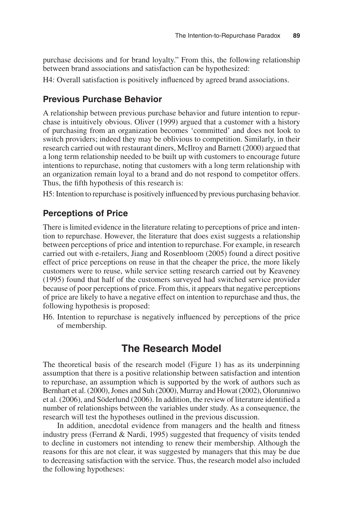purchase decisions and for brand loyalty." From this, the following relationship between brand associations and satisfaction can be hypothesized:

H4: Overall satisfaction is positively influenced by agreed brand associations.

### **Previous Purchase Behavior**

A relationship between previous purchase behavior and future intention to repurchase is intuitively obvious. Oliver (1999) argued that a customer with a history of purchasing from an organization becomes 'committed' and does not look to switch providers; indeed they may be oblivious to competition. Similarly, in their research carried out with restaurant diners, McIlroy and Barnett (2000) argued that a long term relationship needed to be built up with customers to encourage future intentions to repurchase, noting that customers with a long term relationship with an organization remain loyal to a brand and do not respond to competitor offers. Thus, the fifth hypothesis of this research is:

H5: Intention to repurchase is positively influenced by previous purchasing behavior.

### **Perceptions of Price**

There is limited evidence in the literature relating to perceptions of price and intention to repurchase. However, the literature that does exist suggests a relationship between perceptions of price and intention to repurchase. For example, in research carried out with e-retailers, Jiang and Rosenbloom (2005) found a direct positive effect of price perceptions on reuse in that the cheaper the price, the more likely customers were to reuse, while service setting research carried out by Keaveney (1995) found that half of the customers surveyed had switched service provider because of poor perceptions of price. From this, it appears that negative perceptions of price are likely to have a negative effect on intention to repurchase and thus, the following hypothesis is proposed:

H6. Intention to repurchase is negatively influenced by perceptions of the price of membership.

## **The Research Model**

The theoretical basis of the research model (Figure 1) has as its underpinning assumption that there is a positive relationship between satisfaction and intention to repurchase, an assumption which is supported by the work of authors such as Bernhart et al. (2000), Jones and Suh (2000), Murray and Howat (2002), Olorunniwo et al. (2006), and Söderlund (2006). In addition, the review of literature identified a number of relationships between the variables under study. As a consequence, the research will test the hypotheses outlined in the previous discussion.

In addition, anecdotal evidence from managers and the health and fitness industry press (Ferrand  $\&$  Nardi, 1995) suggested that frequency of visits tended to decline in customers not intending to renew their membership. Although the reasons for this are not clear, it was suggested by managers that this may be due to decreasing satisfaction with the service. Thus, the research model also included the following hypotheses: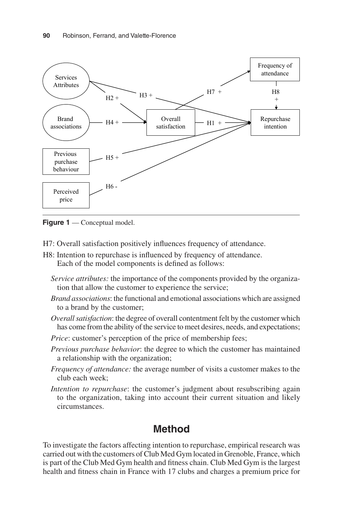

**Figure 1** — Conceptual model.

- H7: Overall satisfaction positively influences frequency of attendance.
- H8: Intention to repurchase is influenced by frequency of attendance. Each of the model components is defined as follows:
	- *Service attributes:* the importance of the components provided by the organization that allow the customer to experience the service;
	- *Brand associations*: the functional and emotional associations which are assigned to a brand by the customer;
	- *Overall satisfaction*: the degree of overall contentment felt by the customer which has come from the ability of the service to meet desires, needs, and expectations;
	- *Price*: customer's perception of the price of membership fees;
	- *Previous purchase behavior*: the degree to which the customer has maintained a relationship with the organization;
	- *Frequency of attendance:* the average number of visits a customer makes to the club each week;
	- *Intention to repurchase*: the customer's judgment about resubscribing again to the organization, taking into account their current situation and likely circumstances.

### **Method**

To investigate the factors affecting intention to repurchase, empirical research was carried out with the customers of Club Med Gym located in Grenoble, France, which is part of the Club Med Gym health and fitness chain. Club Med Gym is the largest health and fitness chain in France with 17 clubs and charges a premium price for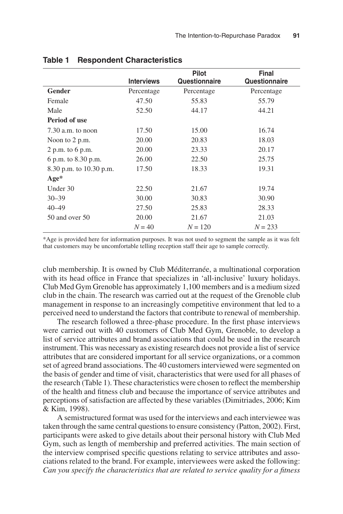|                         | <b>Interviews</b> | <b>Pilot</b><br>Questionnaire | <b>Final</b><br>Questionnaire |
|-------------------------|-------------------|-------------------------------|-------------------------------|
| Gender                  | Percentage        | Percentage                    | Percentage                    |
| Female                  | 47.50             | 55.83                         | 55.79                         |
| Male                    | 52.50             | 44.17                         | 44.21                         |
| Period of use           |                   |                               |                               |
| $7.30$ a.m. to noon     | 17.50             | 15.00                         | 16.74                         |
| Noon to 2 p.m.          | 20.00             | 20.83                         | 18.03                         |
| 2 p.m. to $6$ p.m.      | 20.00             | 23.33                         | 20.17                         |
| 6 p.m. to 8.30 p.m.     | 26.00             | 22.50                         | 25.75                         |
| 8.30 p.m. to 10.30 p.m. | 17.50             | 18.33                         | 19.31                         |
| $Age*$                  |                   |                               |                               |
| Under 30                | 22.50             | 21.67                         | 19.74                         |
| $30 - 39$               | 30.00             | 30.83                         | 30.90                         |
| $40 - 49$               | 27.50             | 25.83                         | 28.33                         |
| 50 and over 50          | 20.00             | 21.67                         | 21.03                         |
|                         | $N = 40$          | $N = 120$                     | $N = 233$                     |

#### **Table 1 Respondent Characteristics**

\*Age is provided here for information purposes. It was not used to segment the sample as it was felt that customers may be uncomfortable telling reception staff their age to sample correctly.

club membership. It is owned by Club Méditerranée, a multinational corporation with its head office in France that specializes in 'all-inclusive' luxury holidays. Club Med Gym Grenoble has approximately 1,100 members and is a medium sized club in the chain. The research was carried out at the request of the Grenoble club management in response to an increasingly competitive environment that led to a perceived need to understand the factors that contribute to renewal of membership.

The research followed a three-phase procedure. In the first phase interviews were carried out with 40 customers of Club Med Gym, Grenoble, to develop a list of service attributes and brand associations that could be used in the research instrument. This was necessary as existing research does not provide a list of service attributes that are considered important for all service organizations, or a common set of agreed brand associations. The 40 customers interviewed were segmented on the basis of gender and time of visit, characteristics that were used for all phases of the research (Table 1). These characteristics were chosen to reflect the membership of the health and fitness club and because the importance of service attributes and perceptions of satisfaction are affected by these variables (Dimitriades, 2006; Kim & Kim, 1998).

A semistructured format was used for the interviews and each interviewee was taken through the same central questions to ensure consistency (Patton, 2002). First, participants were asked to give details about their personal history with Club Med Gym, such as length of membership and preferred activities. The main section of the interview comprised specific questions relating to service attributes and associations related to the brand. For example, interviewees were asked the following: *Can you specify the characteristics that are related to service quality for a fitness*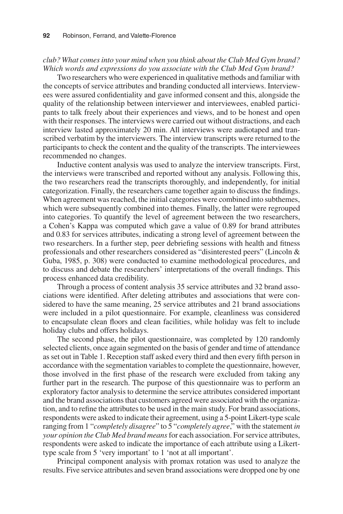#### *club? What comes into your mind when you think about the Club Med Gym brand? Which words and expressions do you associate with the Club Med Gym brand?*

Two researchers who were experienced in qualitative methods and familiar with the concepts of service attributes and branding conducted all interviews. Interviewees were assured confidentiality and gave informed consent and this, alongside the quality of the relationship between interviewer and interviewees, enabled participants to talk freely about their experiences and views, and to be honest and open with their responses. The interviews were carried out without distractions, and each interview lasted approximately 20 min. All interviews were audiotaped and transcribed verbatim by the interviewers. The interview transcripts were returned to the participants to check the content and the quality of the transcripts. The interviewees recommended no changes.

Inductive content analysis was used to analyze the interview transcripts. First, the interviews were transcribed and reported without any analysis. Following this, the two researchers read the transcripts thoroughly, and independently, for initial categorization. Finally, the researchers came together again to discuss the findings. When agreement was reached, the initial categories were combined into subthemes, which were subsequently combined into themes. Finally, the latter were regrouped into categories. To quantify the level of agreement between the two researchers, a Cohen's Kappa was computed which gave a value of 0.89 for brand attributes and 0.83 for services attributes, indicating a strong level of agreement between the two researchers. In a further step, peer debriefing sessions with health and fitness professionals and other researchers considered as "disinterested peers" (Lincoln & Guba, 1985, p. 308) were conducted to examine methodological procedures, and to discuss and debate the researchers' interpretations of the overall findings. This process enhanced data credibility.

Through a process of content analysis 35 service attributes and 32 brand associations were identified. After deleting attributes and associations that were considered to have the same meaning, 25 service attributes and 21 brand associations were included in a pilot questionnaire. For example, cleanliness was considered to encapsulate clean floors and clean facilities, while holiday was felt to include holiday clubs and offers holidays.

The second phase, the pilot questionnaire, was completed by 120 randomly selected clients, once again segmented on the basis of gender and time of attendance as set out in Table 1. Reception staff asked every third and then every fifth person in accordance with the segmentation variables to complete the questionnaire, however, those involved in the first phase of the research were excluded from taking any further part in the research. The purpose of this questionnaire was to perform an exploratory factor analysis to determine the service attributes considered important and the brand associations that customers agreed were associated with the organization, and to refine the attributes to be used in the main study. For brand associations, respondents were asked to indicate their agreement, using a 5-point Likert-type scale ranging from 1 "*completely disagree*" to 5 "*completely agree*," with the statement *in your opinion the Club Med brand means* for each association. For service attributes, respondents were asked to indicate the importance of each attribute using a Likerttype scale from 5 'very important' to 1 'not at all important'.

Principal component analysis with promax rotation was used to analyze the results. Five service attributes and seven brand associations were dropped one by one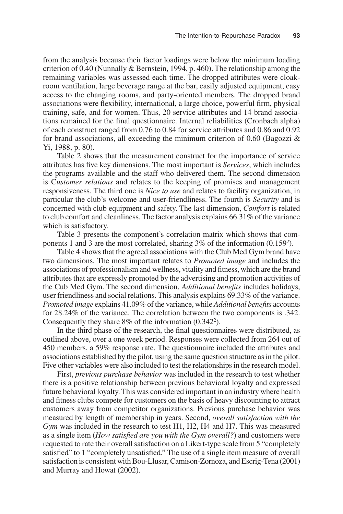from the analysis because their factor loadings were below the minimum loading criterion of 0.40 (Nunnally  $\&$  Bernstein, 1994, p. 460). The relationship among the remaining variables was assessed each time. The dropped attributes were cloakroom ventilation, large beverage range at the bar, easily adjusted equipment, easy access to the changing rooms, and party-oriented members. The dropped brand associations were flexibility, international, a large choice, powerful firm, physical training, safe, and for women. Thus, 20 service attributes and 14 brand associations remained for the final questionnaire. Internal reliabilities (Cronbach alpha) of each construct ranged from 0.76 to 0.84 for service attributes and 0.86 and 0.92 for brand associations, all exceeding the minimum criterion of 0.60 (Bagozzi  $\&$ Yi, 1988, p. 80).

Table 2 shows that the measurement construct for the importance of service attributes has five key dimensions. The most important is *Services*, which includes the programs available and the staff who delivered them. The second dimension is C*ustomer relations* and relates to the keeping of promises and management responsiveness. The third one is *Nice to use* and relates to facility organization, in particular the club's welcome and user-friendliness. The fourth is *Security* and is concerned with club equipment and safety. The last dimension, *Comfort* is related to club comfort and cleanliness. The factor analysis explains 66.31% of the variance which is satisfactory.

Table 3 presents the component's correlation matrix which shows that components 1 and 3 are the most correlated, sharing 3% of the information (0.1592).

Table 4 shows that the agreed associations with the Club Med Gym brand have two dimensions. The most important relates to *Promoted image* and includes the associations of professionalism and wellness, vitality and fitness, which are the brand attributes that are expressly promoted by the advertising and promotion activities of the Cub Med Gym. The second dimension, *Additional benefits* includes holidays, user friendliness and social relations. This analysis explains 69.33% of the variance. *Promoted image* explains 41.09% of the variance, while *Additional benefits* accounts for 28.24% of the variance. The correlation between the two components is .342. Consequently they share 8% of the information (0.3422).

In the third phase of the research, the final questionnaires were distributed, as outlined above, over a one week period. Responses were collected from 264 out of 450 members, a 59% response rate. The questionnaire included the attributes and associations established by the pilot, using the same question structure as in the pilot. Five other variables were also included to test the relationships in the research model.

First, *previous purchase behavior* was included in the research to test whether there is a positive relationship between previous behavioral loyalty and expressed future behavioral loyalty. This was considered important in an industry where health and fitness clubs compete for customers on the basis of heavy discounting to attract customers away from competitor organizations. Previous purchase behavior was measured by length of membership in years. Second, *overall satisfaction with the Gym* was included in the research to test H1, H2, H4 and H7. This was measured as a single item (*How satisfied are you with the Gym overall?*) and customers were requested to rate their overall satisfaction on a Likert-type scale from 5 "completely satisfied" to 1 "completely unsatisfied." The use of a single item measure of overall satisfaction is consistent with Bou-Llusar, Camison-Zornoza, and Escrig-Tena (2001) and Murray and Howat (2002).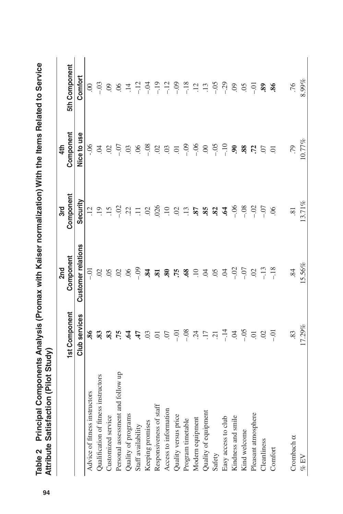| Attribute Satisfaction (Pilot Study)                          |                  |                              |                     |                     |                  |
|---------------------------------------------------------------|------------------|------------------------------|---------------------|---------------------|------------------|
|                                                               | 1st Component    | Component<br>2 <sub>nd</sub> | Component<br>3rd    | Component<br>4th    | 5th Component    |
|                                                               | Club services    | Customer relations           | Security            | Nice to use         | Comfort          |
| Advice of fitness instructors                                 | 86               | Ξ                            | $\overline{5}$      | $-0.6$              | $\odot$          |
| Qualification of fitness instructors                          | 83               | $\mathcal{S}$                | $\overline{.}$      | S.                  | $-0.3$           |
| Customized service                                            | 83               | 65                           | $\overline{15}$     | $\overline{C}$      | $\odot$          |
| and follow up<br>Personal assessment                          | 75               | $\overline{c}$               | $-02$               | $-0.7$              | $\infty$         |
| Quality of programs<br>Staff availability                     | $\ddot{q}$       | $\infty$                     | 22                  | $03$                | $\overline{14}$  |
|                                                               | 47               | $-0.9$                       | $\Xi$               | $90.$               | $-12$            |
| Keeping promises                                              | $\overline{0}$   | $\ddot{\mathbf{g}}$          | $\mathcal{O}$       | $-0.08$             | $-0.4$           |
| Responsiveness of staff                                       | $\Xi$            | হা                           | 026                 | $\mathfrak{S}$      |                  |
| Access to information                                         | $\overline{0}$   | $\boldsymbol{80}$            | $\overline{10}$     | $\ddot{\mathrm{0}}$ | $-19$            |
| Quality versus price                                          | $\overline{0}$ . | .75                          | $\ddot{\mathrm{S}}$ | $\Xi$               | $-0.09$          |
|                                                               | $-0.8$           | 68                           | $\ddot{13}$         | $-0.09$             | $-18$            |
|                                                               | $\ddot{c}$       | $\ddot{=}$                   | 87                  | $-0.6$              | $\ddot{5}$       |
| Program timetable<br>Modern equipment<br>Quality of equipment | $\overline{17}$  | S.                           | 85                  | $\odot$             | $\ddot{.}13$     |
| Safety                                                        | $\overline{21}$  | $\overline{0}$               | 82                  | $-0.5$              | $-0.5$           |
| Easy access to club                                           | $-14$            | S.                           | $\ddot{\bm{c}}$     | $-10$               | $-29$            |
| Kindness and smile                                            | $\tilde{q}$      | $-02$                        | $-06$               | $\mathbf{90}$       | $\odot$          |
| Kind welcome                                                  | $-0.5$           | $-0.7$                       | $-0.08$             | 88.                 | $\overline{0}$   |
| Pleasant atmosphere                                           | $\overline{0}$   | $\overline{C}$               | $-0.2$              | 72                  | $\overline{O}$ . |
| Cleanliness                                                   | $\mathcal{O}$    | $-13$                        | $-0$                | 07                  | 89               |
| Comfort                                                       | Ξ                | $-18$                        | $\frac{6}{2}$       | $\overline{5}$      | $\frac{86}{5}$   |
| Crombach a                                                    | 83               | $\ddot{\mathrm{8}}$          | $\overline{8}$      | .79                 | .76              |
| $\%$ EV                                                       | 17.29%           | 15.56%                       | 13.71%              | 10.77%              | 8.99%            |

Table 2 Principal Components Analysis (Promax with Kaiser normalization) With the Items Related to Service **Table 2 Principal Components Analysis (Promax with Kaiser normalization) With the Items Related to Service**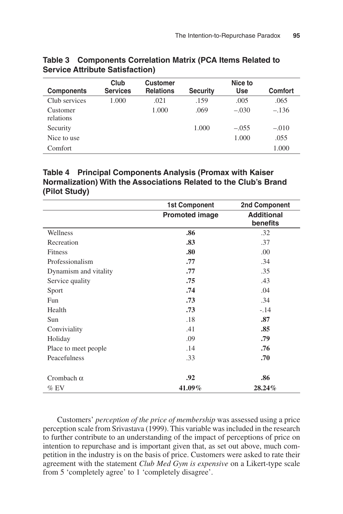|                       | Club            | <b>Customer</b>  |                 | Nice to    |         |
|-----------------------|-----------------|------------------|-----------------|------------|---------|
| <b>Components</b>     | <b>Services</b> | <b>Relations</b> | <b>Security</b> | <b>Use</b> | Comfort |
| Club services         | 1.000           | .021             | .159            | .005       | .065    |
| Customer<br>relations |                 | 1.000            | .069            | $-.030$    | $-.136$ |
| Security              |                 |                  | 1.000           | $-.0.55$   | $-.010$ |
| Nice to use           |                 |                  |                 | 1.000      | .055    |
| Comfort               |                 |                  |                 |            | 1.000   |

#### **Table 3 Components Correlation Matrix (PCA Items Related to Service Attribute Satisfaction)**

### **Table 4 Principal Components Analysis (Promax with Kaiser Normalization) With the Associations Related to the Club's Brand (Pilot Study)**

|                       | 1st Component         | 2nd Component                        |  |
|-----------------------|-----------------------|--------------------------------------|--|
|                       | <b>Promoted image</b> | <b>Additional</b><br><b>benefits</b> |  |
| Wellness              | .86                   | .32                                  |  |
| Recreation            | .83                   | .37                                  |  |
| Fitness               | .80                   | .00                                  |  |
| Professionalism       | .77                   | .34                                  |  |
| Dynamism and vitality | .77                   | .35                                  |  |
| Service quality       | .75                   | .43                                  |  |
| Sport                 | .74                   | .04                                  |  |
| Fun                   | .73                   | .34                                  |  |
| Health                | .73                   | $-.14$                               |  |
| Sun                   | .18                   | .87                                  |  |
| Conviviality          | .41                   | .85                                  |  |
| Holiday               | .09                   | .79                                  |  |
| Place to meet people  | .14                   | .76                                  |  |
| Peacefulness          | .33                   | .70                                  |  |
| Crombach $\alpha$     | .92                   | .86                                  |  |
| $\%$ EV               | 41.09%                | 28.24%                               |  |

Customers' *perception of the price of membership* was assessed using a price perception scale from Srivastava (1999). This variable was included in the research to further contribute to an understanding of the impact of perceptions of price on intention to repurchase and is important given that, as set out above, much competition in the industry is on the basis of price. Customers were asked to rate their agreement with the statement *Club Med Gym is expensive* on a Likert-type scale from 5 'completely agree' to 1 'completely disagree'.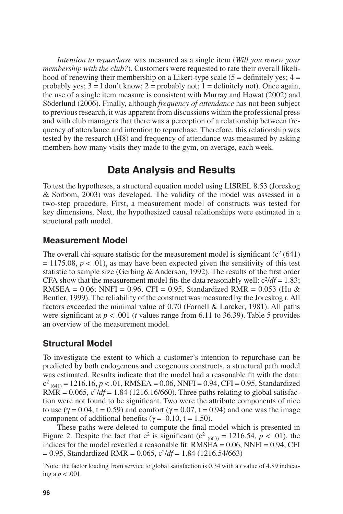*Intention to repurchase* was measured as a single item (*Will you renew your membership with the club?*). Customers were requested to rate their overall likelihood of renewing their membership on a Likert-type scale  $(5 =$  definitely yes;  $4 =$ probably yes;  $3 = I$  don't know;  $2 =$  probably not;  $1 =$  definitely not). Once again, the use of a single item measure is consistent with Murray and Howat (2002) and Söderlund (2006). Finally, although *frequency of attendance* has not been subject to previous research, it was apparent from discussions within the professional press and with club managers that there was a perception of a relationship between frequency of attendance and intention to repurchase. Therefore, this relationship was tested by the research (H8) and frequency of attendance was measured by asking members how many visits they made to the gym, on average, each week.

## **Data Analysis and Results**

To test the hypotheses, a structural equation model using LISREL 8.53 (Joreskog & Sorbom, 2003) was developed. The validity of the model was assessed in a two-step procedure. First, a measurement model of constructs was tested for key dimensions. Next, the hypothesized causal relationships were estimated in a structural path model.

### **Measurement Model**

The overall chi-square statistic for the measurement model is significant ( $c^2$  (641)  $= 1175.08$ ,  $p < .01$ ), as may have been expected given the sensitivity of this test statistic to sample size (Gerbing & Anderson, 1992). The results of the first order CFA show that the measurement model fits the data reasonably well:  $c^2/df = 1.83$ ; RMSEA =  $0.06$ ; NNFI =  $0.96$ , CFI =  $0.95$ , Standardized RMR =  $0.053$  (Hu & Bentler, 1999). The reliability of the construct was measured by the Joreskog r. All factors exceeded the minimal value of 0.70 (Fornell & Larcker, 1981). All paths were significant at  $p < .001$  (*t* values range from 6.11 to 36.39). Table 5 provides an overview of the measurement model.

### **Structural Model**

To investigate the extent to which a customer's intention to repurchase can be predicted by both endogenous and exogenous constructs, a structural path model was estimated. Results indicate that the model had a reasonable fit with the data:  $c^2$ <sub>(641)</sub> = 1216.16,  $p < .01$ , RMSEA = 0.06, NNFI = 0.94, CFI = 0.95, Standardized RMR =  $0.065$ ,  $c^2/df = 1.84$  (1216.16/660). Three paths relating to global satisfaction were not found to be significant. Two were the attribute components of nice to use ( $\gamma$  = 0.04, t = 0.59) and comfort ( $\gamma$  = 0.07, t = 0.94) and one was the image component of additional benefits ( $\gamma = -0.10$ , t = 1.50).

These paths were deleted to compute the final model which is presented in Figure 2. Despite the fact that  $c^2$  is significant ( $c^2$  <sub>(663)</sub> = 1216.54,  $p < .01$ ), the indices for the model revealed a reasonable fit:  $RMSEA = 0.06$ ,  $NNFI = 0.94$ , CFI  $= 0.95$ , Standardized RMR  $= 0.065$ ,  $c^2/df = 1.84$  (1216.54/663)

<sup>1</sup>Note: the factor loading from service to global satisfaction is 0.34 with a *t* value of 4.89 indicating a *p* < .001.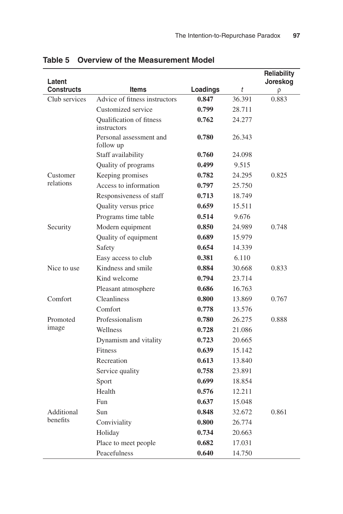| Latent            |                                         |          |        | Reliability<br>Joreskog |
|-------------------|-----------------------------------------|----------|--------|-------------------------|
| <b>Constructs</b> | <b>Items</b>                            | Loadings | t      | ρ                       |
| Club services     | Advice of fitness instructors           | 0.847    | 36.391 | 0.883                   |
|                   | Customized service                      | 0.799    | 28.711 |                         |
|                   | Qualification of fitness<br>instructors | 0.762    | 24.277 |                         |
|                   | Personal assessment and<br>follow up    | 0.780    | 26.343 |                         |
|                   | Staff availability                      | 0.760    | 24.098 |                         |
|                   | Quality of programs                     | 0.499    | 9.515  |                         |
| Customer          | Keeping promises                        | 0.782    | 24.295 | 0.825                   |
| relations         | Access to information                   | 0.797    | 25.750 |                         |
|                   | Responsiveness of staff                 | 0.713    | 18.749 |                         |
|                   | Quality versus price                    | 0.659    | 15.511 |                         |
|                   | Programs time table                     | 0.514    | 9.676  |                         |
| Security          | Modern equipment                        | 0.850    | 24.989 | 0.748                   |
|                   | Quality of equipment                    | 0.689    | 15.979 |                         |
|                   | Safety                                  | 0.654    | 14.339 |                         |
|                   | Easy access to club                     | 0.381    | 6.110  |                         |
| Nice to use       | Kindness and smile                      | 0.884    | 30.668 | 0.833                   |
|                   | Kind welcome                            | 0.794    | 23.714 |                         |
|                   | Pleasant atmosphere                     | 0.686    | 16.763 |                         |
| Comfort           | Cleanliness                             | 0.800    | 13.869 | 0.767                   |
|                   | Comfort                                 | 0.778    | 13.576 |                         |
| Promoted          | Professionalism                         | 0.780    | 26.275 | 0.888                   |
| image             | Wellness                                | 0.728    | 21.086 |                         |
|                   | Dynamism and vitality                   | 0.723    | 20.665 |                         |
|                   | <b>Fitness</b>                          | 0.639    | 15.142 |                         |
|                   | Recreation                              | 0.613    | 13.840 |                         |
|                   | Service quality                         | 0.758    | 23.891 |                         |
|                   | Sport                                   | 0.699    | 18.854 |                         |
|                   | Health                                  | 0.576    | 12.211 |                         |
|                   | Fun                                     | 0.637    | 15.048 |                         |
| Additional        | Sun                                     | 0.848    | 32.672 | 0.861                   |
| benefits          | Conviviality                            | 0.800    | 26.774 |                         |
|                   | Holiday                                 | 0.734    | 20.663 |                         |
|                   | Place to meet people                    | 0.682    | 17.031 |                         |
|                   | Peacefulness                            | 0.640    | 14.750 |                         |

**Table 5 Overview of the Measurement Model**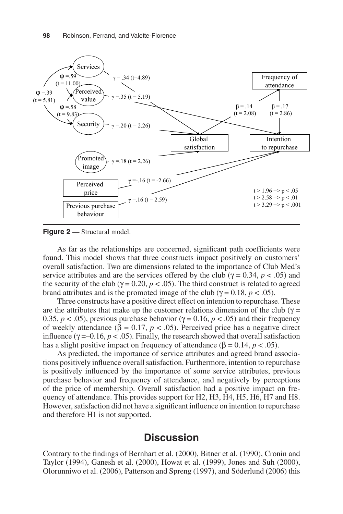

**Figure 2** — Structural model.

As far as the relationships are concerned, significant path coefficients were found. This model shows that three constructs impact positively on customers' overall satisfaction. Two are dimensions related to the importance of Club Med's service attributes and are the services offered by the club ( $\gamma = 0.34$ ,  $p < .05$ ) and the security of the club ( $\gamma = 0.20$ ,  $p < .05$ ). The third construct is related to agreed brand attributes and is the promoted image of the club (γ = 0.18, *p* < .05).

Three constructs have a positive direct effect on intention to repurchase. These are the attributes that make up the customer relations dimension of the club ( $\gamma$  = 0.35,  $p < .05$ ), previous purchase behavior ( $\gamma = 0.16$ ,  $p < .05$ ) and their frequency of weekly attendance ( $β = 0.17, p < .05$ ). Perceived price has a negative direct influence ( $\gamma = -0.16$ ,  $p < .05$ ). Finally, the research showed that overall satisfaction has a slight positive impact on frequency of attendance (β = 0.14,  $p < .05$ ).

As predicted, the importance of service attributes and agreed brand associations positively influence overall satisfaction. Furthermore, intention to repurchase is positively influenced by the importance of some service attributes, previous purchase behavior and frequency of attendance, and negatively by perceptions of the price of membership. Overall satisfaction had a positive impact on frequency of attendance. This provides support for H2, H3, H4, H5, H6, H7 and H8. However, satisfaction did not have a significant influence on intention to repurchase and therefore H1 is not supported.

#### **Discussion**

Contrary to the findings of Bernhart et al. (2000), Bitner et al. (1990), Cronin and Taylor (1994), Ganesh et al. (2000), Howat et al. (1999), Jones and Suh (2000), Olorunniwo et al. (2006), Patterson and Spreng (1997), and Söderlund (2006) this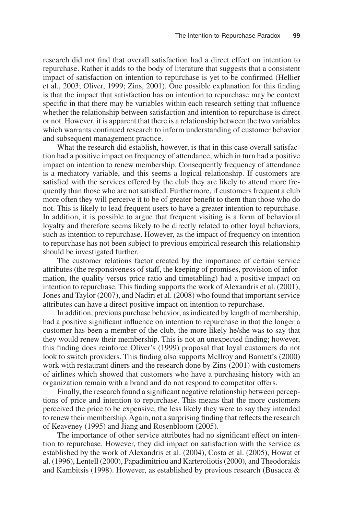research did not find that overall satisfaction had a direct effect on intention to repurchase. Rather it adds to the body of literature that suggests that a consistent impact of satisfaction on intention to repurchase is yet to be confirmed (Hellier et al., 2003; Oliver, 1999; Zins, 2001). One possible explanation for this finding is that the impact that satisfaction has on intention to repurchase may be context specific in that there may be variables within each research setting that influence whether the relationship between satisfaction and intention to repurchase is direct or not. However, it is apparent that there is a relationship between the two variables which warrants continued research to inform understanding of customer behavior and subsequent management practice.

What the research did establish, however, is that in this case overall satisfaction had a positive impact on frequency of attendance, which in turn had a positive impact on intention to renew membership. Consequently frequency of attendance is a mediatory variable, and this seems a logical relationship. If customers are satisfied with the services offered by the club they are likely to attend more frequently than those who are not satisfied. Furthermore, if customers frequent a club more often they will perceive it to be of greater benefit to them than those who do not. This is likely to lead frequent users to have a greater intention to repurchase. In addition, it is possible to argue that frequent visiting is a form of behavioral loyalty and therefore seems likely to be directly related to other loyal behaviors, such as intention to repurchase. However, as the impact of frequency on intention to repurchase has not been subject to previous empirical research this relationship should be investigated further.

The customer relations factor created by the importance of certain service attributes (the responsiveness of staff, the keeping of promises, provision of information, the quality versus price ratio and timetabling) had a positive impact on intention to repurchase. This finding supports the work of Alexandris et al. (2001), Jones and Taylor (2007), and Nadiri et al. (2008) who found that important service attributes can have a direct positive impact on intention to repurchase.

In addition, previous purchase behavior, as indicated by length of membership, had a positive significant influence on intention to repurchase in that the longer a customer has been a member of the club, the more likely he/she was to say that they would renew their membership. This is not an unexpected finding; however, this finding does reinforce Oliver's (1999) proposal that loyal customers do not look to switch providers. This finding also supports McIlroy and Barnett's (2000) work with restaurant diners and the research done by Zins (2001) with customers of airlines which showed that customers who have a purchasing history with an organization remain with a brand and do not respond to competitor offers.

Finally, the research found a significant negative relationship between perceptions of price and intention to repurchase. This means that the more customers perceived the price to be expensive, the less likely they were to say they intended to renew their membership. Again, not a surprising finding that reflects the research of Keaveney (1995) and Jiang and Rosenbloom (2005).

The importance of other service attributes had no significant effect on intention to repurchase. However, they did impact on satisfaction with the service as established by the work of Alexandris et al. (2004), Costa et al. (2005), Howat et al. (1996), Lentell (2000), Papadimitriou and Karteroliotis (2000), and Theodorakis and Kambitsis (1998). However, as established by previous research (Busacca &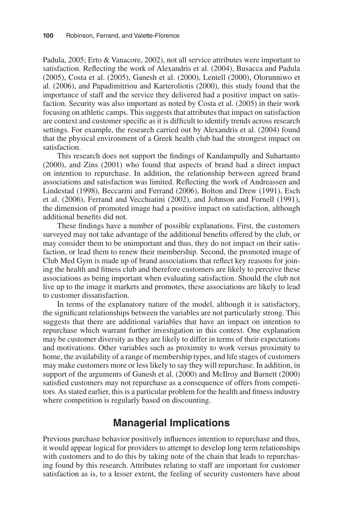Padula, 2005; Erto & Vanacore, 2002), not all service attributes were important to satisfaction. Reflecting the work of Alexandris et al. (2004), Busacca and Padula (2005), Costa et al. (2005), Ganesh et al. (2000), Lentell (2000), Olorunniwo et al. (2006), and Papadimitriou and Karteroliotis (2000), this study found that the importance of staff and the service they delivered had a positive impact on satisfaction. Security was also important as noted by Costa et al. (2005) in their work focusing on athletic camps. This suggests that attributes that impact on satisfaction are context and customer specific as it is difficult to identify trends across research settings. For example, the research carried out by Alexandris et al. (2004) found that the physical environment of a Greek health club had the strongest impact on satisfaction.

This research does not support the findings of Kandampully and Suhartanto (2000), and Zins (2001) who found that aspects of brand had a direct impact on intention to repurchase. In addition, the relationship between agreed brand associations and satisfaction was limited. Reflecting the work of Andreassen and Lindestad (1998), Beccarini and Ferrand (2006), Bolton and Drew (1991), Esch et al. (2006), Ferrand and Vecchiatini (2002), and Johnson and Fornell (1991), the dimension of promoted image had a positive impact on satisfaction, although additional benefits did not.

These findings have a number of possible explanations. First, the customers surveyed may not take advantage of the additional benefits offered by the club, or may consider them to be unimportant and thus, they do not impact on their satisfaction, or lead them to renew their membership. Second, the promoted image of Club Med Gym is made up of brand associations that reflect key reasons for joining the health and fitness club and therefore customers are likely to perceive these associations as being important when evaluating satisfaction. Should the club not live up to the image it markets and promotes, these associations are likely to lead to customer dissatisfaction.

In terms of the explanatory nature of the model, although it is satisfactory, the significant relationships between the variables are not particularly strong. This suggests that there are additional variables that have an impact on intention to repurchase which warrant further investigation in this context. One explanation may be customer diversity as they are likely to differ in terms of their expectations and motivations. Other variables such as proximity to work versus proximity to home, the availability of a range of membership types, and life stages of customers may make customers more or less likely to say they will repurchase. In addition, in support of the arguments of Ganesh et al. (2000) and McIlroy and Barnett (2000) satisfied customers may not repurchase as a consequence of offers from competitors. As stated earlier, this is a particular problem for the health and fitness industry where competition is regularly based on discounting.

### **Managerial Implications**

Previous purchase behavior positively influences intention to repurchase and thus, it would appear logical for providers to attempt to develop long term relationships with customers and to do this by taking note of the chain that leads to repurchasing found by this research. Attributes relating to staff are important for customer satisfaction as is, to a lesser extent, the feeling of security customers have about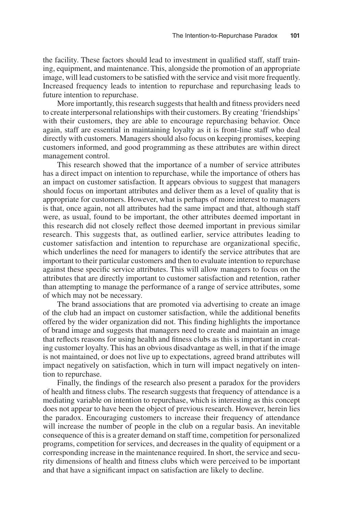the facility. These factors should lead to investment in qualified staff, staff training, equipment, and maintenance. This, alongside the promotion of an appropriate image, will lead customers to be satisfied with the service and visit more frequently. Increased frequency leads to intention to repurchase and repurchasing leads to future intention to repurchase.

More importantly, this research suggests that health and fitness providers need to create interpersonal relationships with their customers. By creating 'friendships' with their customers, they are able to encourage repurchasing behavior. Once again, staff are essential in maintaining loyalty as it is front-line staff who deal directly with customers. Managers should also focus on keeping promises, keeping customers informed, and good programming as these attributes are within direct management control.

This research showed that the importance of a number of service attributes has a direct impact on intention to repurchase, while the importance of others has an impact on customer satisfaction. It appears obvious to suggest that managers should focus on important attributes and deliver them as a level of quality that is appropriate for customers. However, what is perhaps of more interest to managers is that, once again, not all attributes had the same impact and that, although staff were, as usual, found to be important, the other attributes deemed important in this research did not closely reflect those deemed important in previous similar research. This suggests that, as outlined earlier, service attributes leading to customer satisfaction and intention to repurchase are organizational specific, which underlines the need for managers to identify the service attributes that are important to their particular customers and then to evaluate intention to repurchase against these specific service attributes. This will allow managers to focus on the attributes that are directly important to customer satisfaction and retention, rather than attempting to manage the performance of a range of service attributes, some of which may not be necessary.

The brand associations that are promoted via advertising to create an image of the club had an impact on customer satisfaction, while the additional benefits offered by the wider organization did not. This finding highlights the importance of brand image and suggests that managers need to create and maintain an image that reflects reasons for using health and fitness clubs as this is important in creating customer loyalty. This has an obvious disadvantage as well, in that if the image is not maintained, or does not live up to expectations, agreed brand attributes will impact negatively on satisfaction, which in turn will impact negatively on intention to repurchase.

Finally, the findings of the research also present a paradox for the providers of health and fitness clubs. The research suggests that frequency of attendance is a mediating variable on intention to repurchase, which is interesting as this concept does not appear to have been the object of previous research. However, herein lies the paradox. Encouraging customers to increase their frequency of attendance will increase the number of people in the club on a regular basis. An inevitable consequence of this is a greater demand on staff time, competition for personalized programs, competition for services, and decreases in the quality of equipment or a corresponding increase in the maintenance required. In short, the service and security dimensions of health and fitness clubs which were perceived to be important and that have a significant impact on satisfaction are likely to decline.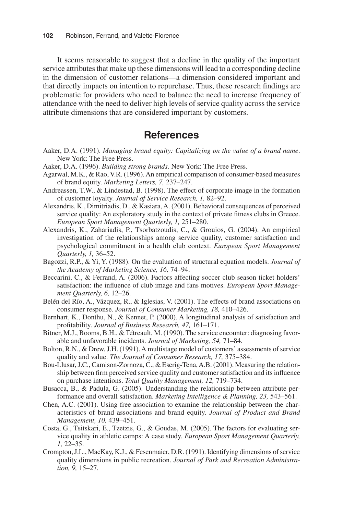It seems reasonable to suggest that a decline in the quality of the important service attributes that make up these dimensions will lead to a corresponding decline in the dimension of customer relations—a dimension considered important and that directly impacts on intention to repurchase. Thus, these research findings are problematic for providers who need to balance the need to increase frequency of attendance with the need to deliver high levels of service quality across the service attribute dimensions that are considered important by customers.

### **References**

- Aaker, D.A. (1991). *Managing brand equity: Capitalizing on the value of a brand name*. New York: The Free Press.
- Aaker, D.A. (1996). *Building strong brands*. New York: The Free Press.
- Agarwal, M.K., & Rao, V.R. (1996). An empirical comparison of consumer-based measures of brand equity. *Marketing Letters, 7,* 237–247.
- Andreassen, T.W., & Lindestad, B. (1998). The effect of corporate image in the formation of customer loyalty. *Journal of Service Research, 1,* 82–92.
- Alexandris, K., Dimitriadis, D., & Kasiara, A. (2001). Behavioral consequences of perceived service quality: An exploratory study in the context of private fitness clubs in Greece. *European Sport Management Quarterly, 1,* 251–280.
- Alexandris, K., Zahariadis, P., Tsorbatzoudis, C., & Grouios, G. (2004). An empirical investigation of the relationships among service quality, customer satisfaction and psychological commitment in a health club context. *European Sport Management Quarterly, 1,* 36–52.
- Bagozzi, R.P., & Yi, Y. (1988). On the evaluation of structural equation models. *Journal of the Academy of Marketing Science, 16,* 74–94.
- Beccarini, C., & Ferrand, A. (2006). Factors affecting soccer club season ticket holders' satisfaction: the influence of club image and fans motives. *European Sport Management Quarterly, 6,* 12–26.
- Belén del Río, A., Vázquez, R., & Iglesias, V. (2001). The effects of brand associations on consumer response. *Journal of Consumer Marketing, 18,* 410–426.
- Bernhart, K., Donthu, N., & Kennet, P. (2000). A longitudinal analysis of satisfaction and profitability. *Journal of Business Research, 47,* 161–171.
- Bitner, M.J., Booms, B.H., & Tétreault, M. (1990). The service encounter: diagnosing favorable and unfavorable incidents. *Journal of Marketing, 54,* 71–84.
- Bolton, R.N., & Drew, J.H. (1991). A multistage model of customers' assessments of service quality and value. *The Journal of Consumer Research, 17,* 375–384.
- Bou-Llusar, J.C., Camison-Zornoza, C., & Escrig-Tena, A.B. (2001). Measuring the relationship between firm perceived service quality and customer satisfaction and its influence on purchase intentions. *Total Quality Management, 12,* 719–734.
- Busacca, B., & Padula, G. (2005). Understanding the relationship between attribute performance and overall satisfaction. *Marketing Intelligence & Planning, 23,* 543–561.
- Chen, A.C. (2001). Using free association to examine the relationship between the characteristics of brand associations and brand equity. *Journal of Product and Brand Management, 10,* 439–451.
- Costa, G., Tsitskari, E., Tzetzis, G., & Goudas, M. (2005). The factors for evaluating service quality in athletic camps: A case study. *European Sport Management Quarterly, 1,* 22–35.
- Crompton, J.L., MacKay, K.J., & Fesenmaier, D.R. (1991). Identifying dimensions of service quality dimensions in public recreation. *Journal of Park and Recreation Administration, 9,* 15–27.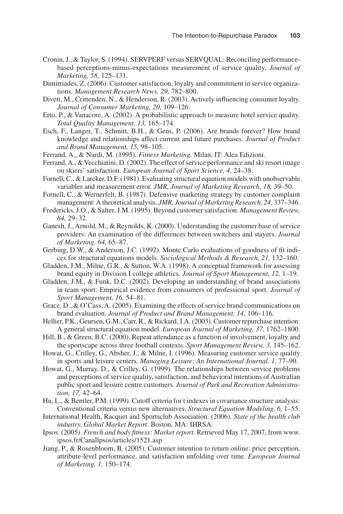- Cronin, J., & Taylor, S. (1994). SERVPERF versus SERVQUAL: Reconciling performancebased perceptions-minus-expectations measurement of service quality. *Journal of Marketing, 58,* 125–131.
- Dimitriades, Z. (2006). Customer satisfaction, loyalty and commitment in service organizations. *Management Research News, 29,* 782–800.
- Divett, M., Crittenden, N., & Henderson, R. (2003). Actively influencing consumer loyalty. *Journal of Consumer Marketing, 20,* 109–126.
- Erto, P., & Vanacore, A. (2002). A probabilistic approach to measure hotel service quality. *Total Quality Management, 13,* 165–174.
- Esch, F., Langer, T., Schmitt, B.H., & Geus, P. (2006). Are brands forever? How brand knowledge and relationships affect current and future purchases. *Journal of Product and Brand Management, 15,* 98–105.
- Ferrand, A., & Nardi, M. (1995). *Fitness Marketing.* Milan, IT: Alea Edizioni.
- Ferrand, A., & Vecchiatini, D. (2002). The effect of service performance and ski resort image on skiers' satisfaction. *European Journal of Sport Science, 4,* 24–38.
- Fornell, C., & Larcker, D.F. (1981). Evaluating structural equation models with unobservable variables and measurement error. *JMR, Journal of Marketing Research, 18,* 39–50.
- Fornell, C., & Wernerfelt, B. (1987). Defensive marketing strategy by customer complaint management: A theoretical analysis. *JMR, Journal of Marketing Research, 24,* 337–346.
- Fredericks, J.O., & Salter, J.M. (1995). Beyond customer satisfaction. *Management Review, 84,* 29–32.
- Ganesh, J., Arnold, M., & Reynolds, K. (2000). Understanding the customer base of service providers: An examination of the differences between switchers and stayers. *Journal of Marketing, 64,* 65–87.
- Gerbing, D.W., & Anderson, J.C. (1992). Monte Carlo evaluations of goodness of fit indices for structural equations models. *Sociological Methods & Research, 21,* 132–160.
- Gladden, J.M., Milne, G.R., & Sutton, W.A. (1998). A conceptual framework for assessing brand equity in Division I college athletics. *Journal of Sport Management, 12,* 1–19.
- Gladden, J.M., & Funk, D.C. (2002). Developing an understanding of brand associations in team sport: Empirical evidence from consumers of professional sport. *Journal of Sport Management, 16,* 54–81.
- Grace, D., & O'Cass, A. (2005). Examining the effects of service brand communications on brand evaluation. *Journal of Product and Brand Management, 14,* 106–116.
- Hellier, P.K., Geursen, G.M., Carr, R., & Rickard, J.A. (2003). Customer repurchase intention: A general structural equation model. *European Journal of Marketing, 37,* 1762–1800.
- Hill, B., & Green, B.C. (2000). Repeat attendance as a function of involvement, loyalty and the sportscape across three football contexts. *Sport Management Review, 3,* 145–162.
- Howat, G., Crilley, G., Absher, J., & Milne, I. (1996). Measuring customer service quality in sports and leisure centers. *Managing Leisure: An International Journal, 1,* 77–90.
- Howat, G., Murray, D., & Crilley, G. (1999). The relationships between service problems and perceptions of service quality, satisfaction, and behavioral intentions of Australian public sport and leisure centre customers. *Journal of Park and Recreation Administration, 17,* 42–64.
- Hu, L., & Bentler, P.M. (1999). Cutoff criteria for t indexes in covariance structure analysis: Conventional criteria versus new alternatives. *Structural Equation Modeling, 6,* 1–55.
- International Health, Racquet and Sportsclub Association. (2006). *State of the health club industry. Global Market Report*. Boston, MA: IHRSA.
- Ipsos. (2005). *French and body fitness: Market report.* Retrieved May 17, 2007, from www. ipsos.fr/Canallpsos/articles/1521.asp
- Jiang, P., & Rosenbloom, B. (2005). Customer intention to return online: price perception, attribute-level performance, and satisfaction unfolding over time. *European Journal of Marketing, 1,* 150–174.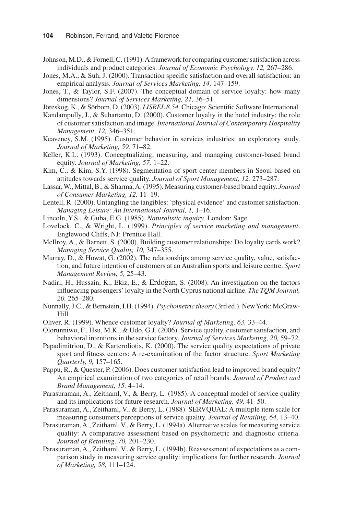- Johnson, M.D., & Fornell, C. (1991). A framework for comparing customer satisfaction across individuals and product categories. *Journal of Economic Psychology, 12,* 267–286.
- Jones, M.A., & Suh, J. (2000). Transaction specific satisfaction and overall satisfaction: an empirical analysis. *Journal of Services Marketing, 14,* 147–159.
- Jones, T., & Taylor, S.F. (2007). The conceptual domain of service loyalty: how many dimensions? *Journal of Services Marketing, 21,* 36–51.
- Jöreskog, K., & Sörbom, D. (2003). *LISREL 8.54*. Chicago: Scientific Software International.
- Kandampully, J., & Suhartanto, D. (2000). Customer loyalty in the hotel industry: the role of customer satisfaction and image. *International Journal of Contemporary Hospitality Management, 12,* 346–351.
- Keaveney, S.M. (1995). Customer behavior in services industries: an exploratory study. *Journal of Marketing, 59,* 71–82.
- Keller, K.L. (1993). Conceptualizing, measuring, and managing customer-based brand equity. *Journal of Marketing, 57,* 1–22.
- Kim, C., & Kim, S.Y. (1998). Segmentation of sport center members in Seoul based on attitudes towards service quality. *Journal of Sport Management, 12,* 273–287.
- Lassar, W., Mittal, B., & Sharma, A. (1995). Measuring customer-based brand equity. *Journal of Consumer Marketing, 12,* 11–19.
- Lentell, R. (2000). Untangling the tangibles: 'physical evidence' and customer satisfaction. *Managing Leisure: An International Journal, 1,* 1–16.
- Lincoln, Y.S., & Guba, E.G. (1985). *Naturalistic inquiry*. London: Sage.
- Lovelock, C., & Wright, L. (1999). *Principles of service marketing and management*. Englewood Cliffs, NJ: Prentice Hall.
- McIlroy, A., & Barnett, S. (2000). Building customer relationships: Do loyalty cards work? *Managing Service Quality, 10,* 347–355.
- Murray, D., & Howat, G. (2002). The relationships among service quality, value, satisfaction, and future intention of customers at an Australian sports and leisure centre. *Sport Management Review, 5,* 25–43.
- Nadiri, H., Hussain, K., Ekiz, E., & Erdoğan, S. (2008). An investigation on the factors influencing passengers' loyalty in the North Cyprus national airline. *The TQM Journal, 20,* 265–280.
- Nunnally, J.C., & Bernstein, I.H. (1994). *Psychometric theory* (3rd ed.). New York: McGraw-Hill.
- Oliver, R. (1999). Whence customer loyalty? *Journal of Marketing, 63,* 33–44.
- Olorunniwo, F., Hsu, M.K., & Udo, G.J. (2006). Service quality, customer satisfaction, and behavioral intentions in the service factory. *Journal of Services Marketing, 20,* 59–72.
- Papadimitriou, D., & Karteroliotis, K. (2000). The service quality expectations of private sport and fitness centers: A re-examination of the factor structure. *Sport Marketing Quarterly, 9,* 157–165.
- Pappu, R., & Quester, P. (2006). Does customer satisfaction lead to improved brand equity? An empirical examination of two categories of retail brands. *Journal of Product and Brand Management, 15,* 4–14.
- Parasuraman, A., Zeithaml, V., & Berry, L. (1985). A conceptual model of service quality and its implications for future research. *Journal of Marketing, 49,* 41–50.
- Parasuraman, A., Zeithaml, V., & Berry, L. (1988). SERVQUAL: A multiple item scale for measuring consumers perceptions of service quality. *Journal of Retailing, 64,* 13–40.
- Parasuraman, A., Zeithaml, V., & Berry, L. (1994a). Alternative scales for measuring service quality: A comparative assessment based on psychometric and diagnostic criteria. *Journal of Retailing, 70,* 201–230.
- Parasuraman, A., Zeithaml, V., & Berry, L. (1994b). Reassessment of expectations as a comparison study in measuring service quality: implications for further research. *Journal of Marketing, 58,* 111–124.